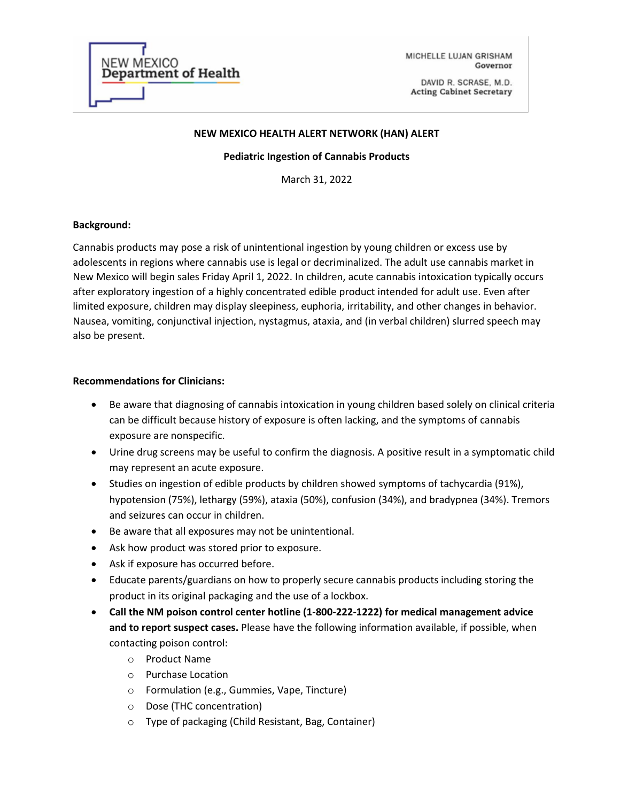

MICHELLE LUJAN GRISHAM Governor

DAVID R. SCRASE, M.D. **Acting Cabinet Secretary** 

## **NEW MEXICO HEALTH ALERT NETWORK (HAN) ALERT**

#### **Pediatric Ingestion of Cannabis Products**

March 31, 2022

# **Background:**

Cannabis products may pose a risk of unintentional ingestion by young children or excess use by adolescents in regions where cannabis use is legal or decriminalized. The adult use cannabis market in New Mexico will begin sales Friday April 1, 2022. In children, acute cannabis intoxication typically occurs after exploratory ingestion of a highly concentrated edible product intended for adult use. Even after limited exposure, children may display sleepiness, euphoria, irritability, and other changes in behavior. Nausea, vomiting, conjunctival injection, nystagmus, ataxia, and (in verbal children) slurred speech may also be present.

## **Recommendations for Clinicians:**

- Be aware that diagnosing of cannabis intoxication in young children based solely on clinical criteria can be difficult because history of exposure is often lacking, and the symptoms of cannabis exposure are nonspecific.
- Urine drug screens may be useful to confirm the diagnosis. A positive result in a symptomatic child may represent an acute exposure.
- Studies on ingestion of edible products by children showed symptoms of tachycardia (91%), hypotension (75%), lethargy (59%), ataxia (50%), confusion (34%), and bradypnea (34%). Tremors and seizures can occur in children.
- Be aware that all exposures may not be unintentional.
- Ask how product was stored prior to exposure.
- Ask if exposure has occurred before.
- Educate parents/guardians on how to properly secure cannabis products including storing the product in its original packaging and the use of a lockbox.
- **Call the NM poison control center hotline (1-800-222-1222) for medical management advice and to report suspect cases.** Please have the following information available, if possible, when contacting poison control:
	- o Product Name
	- o Purchase Location
	- o Formulation (e.g., Gummies, Vape, Tincture)
	- o Dose (THC concentration)
	- o Type of packaging (Child Resistant, Bag, Container)